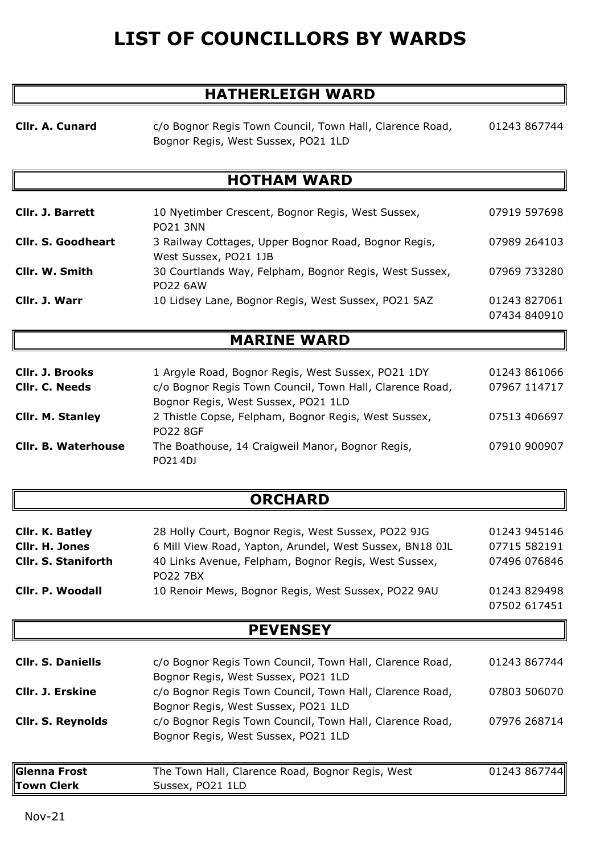# **LIST OF COUNCILLORS BY WARDS**

## **HATHERLEIGH WARD**

**Cllr. A. Cunard**

c/o Bognor Regis Town Council, Town Hall, Clarence Road, Bognor Regis, West Sussex, PO21 1LD

01243 867744

## **HOTHAM WARD**

| <b>Cllr. J. Barrett</b>   | 10 Nyetimber Crescent, Bognor Regis, West Sussex,      | 07919 597698 |
|---------------------------|--------------------------------------------------------|--------------|
|                           | <b>PO21 3NN</b>                                        |              |
| <b>Cllr. S. Goodheart</b> | 3 Railway Cottages, Upper Bognor Road, Bognor Regis,   | 07989 264103 |
|                           | West Sussex, PO21 1JB                                  |              |
| Cllr. W. Smith            | 30 Courtlands Way, Felpham, Bognor Regis, West Sussex, | 07969 733280 |
|                           | <b>PO22 6AW</b>                                        |              |
| Cllr. J. Warr             | 10 Lidsey Lane, Bognor Regis, West Sussex, PO21 5AZ    | 01243 827061 |
|                           |                                                        | 07434 840910 |

#### **MARINE WARD**

| <b>CIIr. J. Brooks</b>     | 1 Argyle Road, Bognor Regis, West Sussex, PO21 1DY       | 01243 861066 |
|----------------------------|----------------------------------------------------------|--------------|
| CIIr. C. Needs             | c/o Bognor Regis Town Council, Town Hall, Clarence Road, | 07967 114717 |
|                            | Bognor Regis, West Sussex, PO21 1LD                      |              |
| <b>CIIr. M. Stanley</b>    | 2 Thistle Copse, Felpham, Bognor Regis, West Sussex,     | 07513 406697 |
|                            | <b>PO22 8GF</b>                                          |              |
| <b>Cllr. B. Waterhouse</b> | The Boathouse, 14 Craigweil Manor, Bognor Regis,         | 07910 900907 |
|                            | PO21 4DJ                                                 |              |

### **ORCHARD**

| Cllr. K. Batley            | 28 Holly Court, Bognor Regis, West Sussex, PO22 9JG                     | 01243 945146                 |
|----------------------------|-------------------------------------------------------------------------|------------------------------|
| Cllr. H. Jones             | 6 Mill View Road, Yapton, Arundel, West Sussex, BN18 0JL                | 07715 582191                 |
| <b>Cllr. S. Staniforth</b> | 40 Links Avenue, Felpham, Bognor Regis, West Sussex,<br><b>PO22 7BX</b> | 07496 076846                 |
| Cllr. P. Woodall           | 10 Renoir Mews, Bognor Regis, West Sussex, PO22 9AU                     | 01243 829498<br>07502 617451 |

#### **PEVENSEY**

| <b>Cllr. S. Daniells</b>          | c/o Bognor Regis Town Council, Town Hall, Clarence Road,<br>Bognor Regis, West Sussex, PO21 1LD | 01243 867744 |
|-----------------------------------|-------------------------------------------------------------------------------------------------|--------------|
| Cllr. J. Erskine                  | c/o Bognor Regis Town Council, Town Hall, Clarence Road,<br>Bognor Regis, West Sussex, PO21 1LD | 07803 506070 |
| <b>Cllr. S. Reynolds</b>          | c/o Bognor Regis Town Council, Town Hall, Clarence Road,<br>Bognor Regis, West Sussex, PO21 1LD | 07976 268714 |
| <b>Glenna Frost</b><br>Town Clerk | The Town Hall, Clarence Road, Bognor Regis, West<br>Sussex, PO21 1LD                            | 01243 867744 |